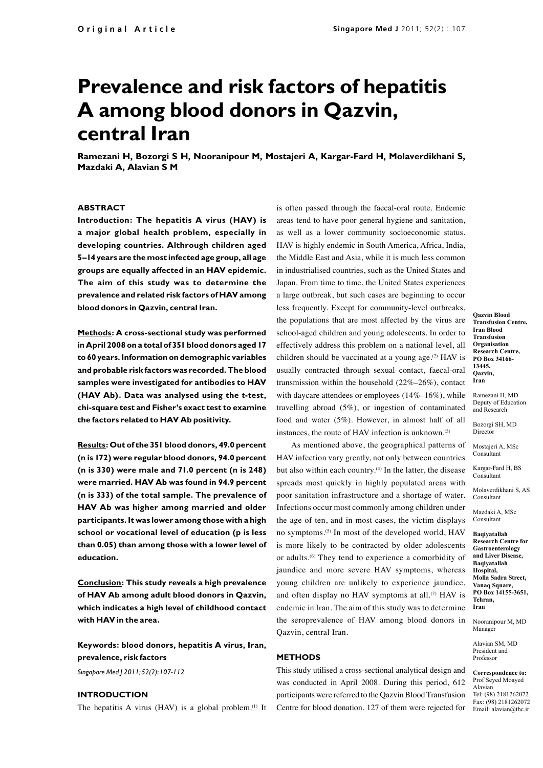# **Prevalence and risk factors of hepatitis A among blood donors in Qazvin, central Iran**

**Ramezani H, Bozorgi S H, Nooranipour M, Mostajeri A, Kargar-Fard H, Molaverdikhani S, Mazdaki A, Alavian S M**

# **ABSTRACT**

**Introduction: The hepatitis A virus (HAV) is a major global health problem, especially in developing countries. Althrough children aged 5–14 years are the most infected age group, all age groups are equally affected in an HAV epidemic. The aim of this study was to determine the prevalence and related risk factors of HAV among blood donors in Qazvin, central Iran.** 

**Methods: A cross-sectional study was performed in April 2008 on a total of 351 blood donors aged 17 to 60 years. Information on demographic variables and probable risk factors was recorded. The blood samples were investigated for antibodies to HAV (HAV Ab). Data was analysed using the** *t***-test, chi-square test and Fisher's exact test to examine the factors related to HAV Ab positivity.**

**Results: Out of the 351 blood donors, 49.0 percent (n is 172) were regular blood donors, 94.0 percent (n is 330) were male and 71.0 percent (n is 248) were married. HAV Ab was found in 94.9 percent (n is 333) of the total sample. The prevalence of HAV Ab was higher among married and older participants. It was lower among those with a high school or vocational level of education (p is less than 0.05) than among those with a lower level of education.**

**Conclusion: This study reveals a high prevalence of HAV Ab among adult blood donors in Qazvin, which indicates a high level of childhood contact with HAV in the area.**

**Keywords: blood donors, hepatitis A virus, Iran, prevalence, risk factors**

*Singapore Med J 2011; 52(2): 107-112*

# **INTRODUCTION**

The hepatitis A virus (HAV) is a global problem.(1) It

is often passed through the faecal-oral route. Endemic areas tend to have poor general hygiene and sanitation, as well as a lower community socioeconomic status. HAV is highly endemic in South America, Africa, India, the Middle East and Asia, while it is much less common in industrialised countries, such as the United States and Japan. From time to time, the United States experiences a large outbreak, but such cases are beginning to occur less frequently. Except for community-level outbreaks, the populations that are most affected by the virus are school-aged children and young adolescents. In order to effectively address this problem on a national level, all children should be vaccinated at a young age. $(2)$  HAV is usually contracted through sexual contact, faecal-oral transmission within the household (22%–26%), contact with daycare attendees or employees (14%–16%), while travelling abroad (5%), or ingestion of contaminated food and water (5%). However, in almost half of all instances, the route of HAV infection is unknown.<sup>(3)</sup>

As mentioned above, the geographical patterns of HAV infection vary greatly, not only between countries but also within each country.<sup>(4)</sup> In the latter, the disease spreads most quickly in highly populated areas with poor sanitation infrastructure and a shortage of water. Infections occur most commonly among children under the age of ten, and in most cases, the victim displays no symptoms.(5) In most of the developed world, HAV is more likely to be contracted by older adolescents or adults.(6) They tend to experience a comorbidity of jaundice and more severe HAV symptoms, whereas young children are unlikely to experience jaundice, and often display no HAV symptoms at all.<sup>(7)</sup> HAV is endemic in Iran. The aim of this study was to determine the seroprevalence of HAV among blood donors in Qazvin, central Iran.

## **METHODS**

This study utilised a cross-sectional analytical design and was conducted in April 2008. During this period, 612 participants were referred to the Qazvin Blood Transfusion Centre for blood donation. 127 of them were rejected for

**Qazvin Blood Transfusion Centre, Iran Blood Transfusion Organisation Research Centre, PO Box 34166- 13445, Qazvin, Iran**

Ramezani H, MD Deputy of Education and Research

Bozorgi SH, MD Director

Mostajeri A, MSc Consultant

Kargar-Fard H, BS Consultant

Molaverdikhani S, AS Consultant

Mazdaki A, MSc Consultant

**Baqiyatallah Research Centre for Gastroenterology and Liver Disease, Baqiyatallah Hospital, Molla Sadra Street, Vanaq Square, PO Box 14155-3651, Tehran, Iran**

Nooranipour M, MD Manager

Alavian SM, MD President and Professor

#### **Correspondence to:** Prof Seyed Moayed Alavian

Tel: (98) 2181262072 Fax: (98) 2181262072 Email: alavian@thc.ir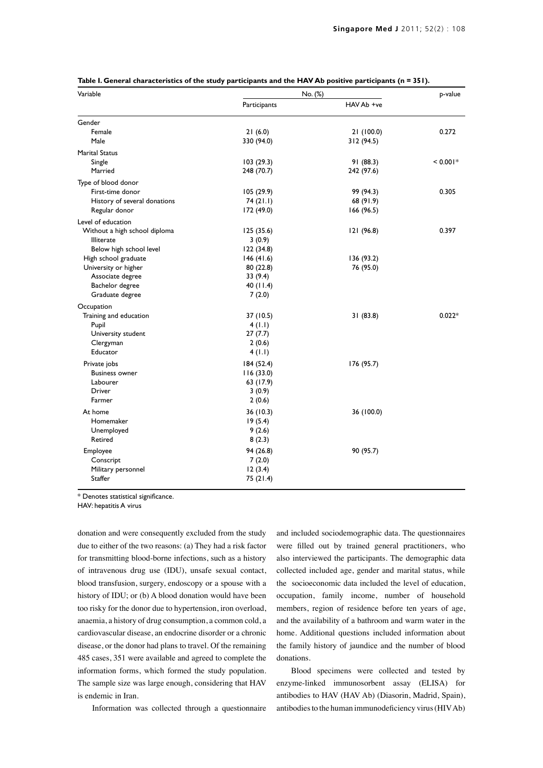| Variable                      | No. (%)      |            | p-value    |
|-------------------------------|--------------|------------|------------|
|                               | Participants | HAV Ab +ve |            |
| Gender                        |              |            |            |
| Female                        | 21(6.0)      | 21(100.0)  | 0.272      |
| Male                          | 330 (94.0)   | 312 (94.5) |            |
| <b>Marital Status</b>         |              |            |            |
| Single                        | 103(29.3)    | 91 (88.3)  | $< 0.001*$ |
| Married                       | 248 (70.7)   | 242 (97.6) |            |
| Type of blood donor           |              |            |            |
| First-time donor              | 105 (29.9)   | 99 (94.3)  | 0.305      |
| History of several donations  | 74(21.1)     | 68 (91.9)  |            |
| Regular donor                 | 172 (49.0)   | 166 (96.5) |            |
| Level of education            |              |            |            |
| Without a high school diploma | 125 (35.6)   | 121 (96.8) | 0.397      |
| Illiterate                    | 3(0.9)       |            |            |
| Below high school level       | 122(34.8)    |            |            |
| High school graduate          | 146(41.6)    | 136 (93.2) |            |
| University or higher          | 80 (22.8)    | 76 (95.0)  |            |
| Associate degree              | 33 (9.4)     |            |            |
| Bachelor degree               | 40 $(11.4)$  |            |            |
| Graduate degree               | 7(2.0)       |            |            |
| Occupation                    |              |            |            |
| Training and education        | 37 (10.5)    | 31(83.8)   | $0.022*$   |
| Pupil                         | 4 (1.1)      |            |            |
| University student            | 27(7.7)      |            |            |
| Clergyman                     | 2(0.6)       |            |            |
| Educator                      | 4(1.1)       |            |            |
| Private jobs                  | 184 (52.4)   | 176 (95.7) |            |
| <b>Business owner</b>         | 116(33.0)    |            |            |
| Labourer                      | 63 (17.9)    |            |            |
| Driver                        | 3(0.9)       |            |            |
| Farmer                        | 2(0.6)       |            |            |
| At home                       | 36 (10.3)    | 36 (100.0) |            |
| Homemaker                     | 19(5.4)      |            |            |
| Unemployed                    | 9(2.6)       |            |            |
| Retired                       | 8(2.3)       |            |            |
| Employee                      | 94 (26.8)    | 90 (95.7)  |            |
| Conscript                     | 7(2.0)       |            |            |
| Military personnel            | 12(3.4)      |            |            |
| Staffer                       | 75 (21.4)    |            |            |

\* Denotes statistical significance.

HAV: hepatitis A virus

donation and were consequently excluded from the study due to either of the two reasons: (a) They had a risk factor for transmitting blood-borne infections, such as a history of intravenous drug use (IDU), unsafe sexual contact, blood transfusion, surgery, endoscopy or a spouse with a history of IDU; or (b) A blood donation would have been too risky for the donor due to hypertension, iron overload, anaemia, a history of drug consumption, a common cold, a cardiovascular disease, an endocrine disorder or a chronic disease, or the donor had plans to travel. Of the remaining 485 cases, 351 were available and agreed to complete the information forms, which formed the study population. The sample size was large enough, considering that HAV is endemic in Iran.

Information was collected through a questionnaire

and included sociodemographic data. The questionnaires were filled out by trained general practitioners, who also interviewed the participants. The demographic data collected included age, gender and marital status, while the socioeconomic data included the level of education, occupation, family income, number of household members, region of residence before ten years of age, and the availability of a bathroom and warm water in the home. Additional questions included information about the family history of jaundice and the number of blood donations.

Blood specimens were collected and tested by enzyme-linked immunosorbent assay (ELISA) for antibodies to HAV (HAV Ab) (Diasorin, Madrid, Spain), antibodies to the human immunodeficiency virus (HIV Ab)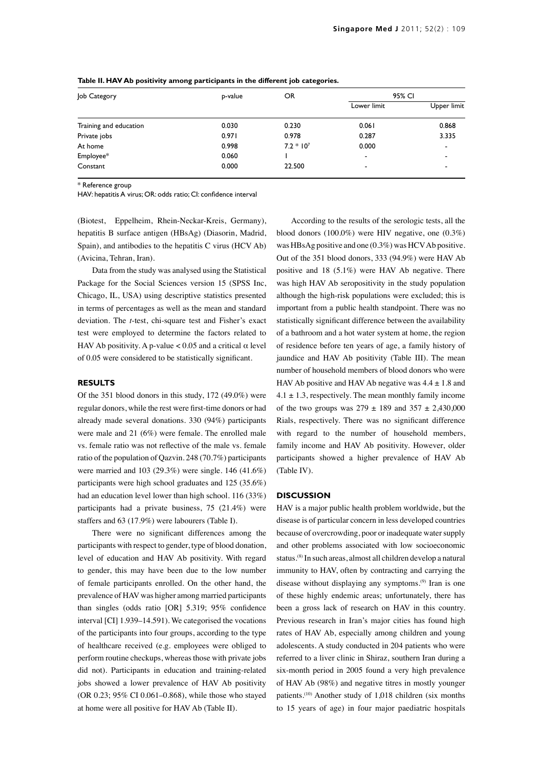| Job Category           | p-value | OR          | 95% CI                   |             |
|------------------------|---------|-------------|--------------------------|-------------|
|                        |         |             | Lower limit              | Upper limit |
| Training and education | 0.030   | 0.230       | 0.061                    | 0.868       |
| Private jobs           | 0.971   | 0.978       | 0.287                    | 3.335       |
| At home                | 0.998   | $7.2 * 107$ | 0.000                    | -           |
| Employee*              | 0.060   |             | $\overline{\phantom{a}}$ |             |
| Constant               | 0.000   | 22.500      | $\overline{\phantom{a}}$ |             |

**Table II. HAV Ab positivity among participants in the different job categories.**

\* Reference group

HAV: hepatitis A virus; OR: odds ratio; CI: confidence interval

(Biotest, Eppelheim, Rhein-Neckar-Kreis, Germany), hepatitis B surface antigen (HBsAg) (Diasorin, Madrid, Spain), and antibodies to the hepatitis C virus (HCV Ab) (Avicina, Tehran, Iran).

Data from the study was analysed using the Statistical Package for the Social Sciences version 15 (SPSS Inc, Chicago, IL, USA) using descriptive statistics presented in terms of percentages as well as the mean and standard deviation. The *t*-test, chi-square test and Fisher's exact test were employed to determine the factors related to HAV Ab positivity. A p-value  $< 0.05$  and a critical  $\alpha$  level of 0.05 were considered to be statistically significant.

### **RESULTS**

Of the 351 blood donors in this study, 172 (49.0%) were regular donors, while the rest were first-time donors or had already made several donations. 330 (94%) participants were male and 21 (6%) were female. The enrolled male vs. female ratio was not reflective of the male vs. female ratio of the population of Qazvin. 248 (70.7%) participants were married and 103 (29.3%) were single. 146 (41.6%) participants were high school graduates and 125 (35.6%) had an education level lower than high school. 116 (33%) participants had a private business, 75 (21.4%) were staffers and 63 (17.9%) were labourers (Table I).

There were no significant differences among the participants with respect to gender, type of blood donation, level of education and HAV Ab positivity. With regard to gender, this may have been due to the low number of female participants enrolled. On the other hand, the prevalence of HAV was higher among married participants than singles (odds ratio [OR] 5.319; 95% confidence interval [CI] 1.939–14.591). We categorised the vocations of the participants into four groups, according to the type of healthcare received (e.g. employees were obliged to perform routine checkups, whereas those with private jobs did not). Participants in education and training-related jobs showed a lower prevalence of HAV Ab positivity (OR 0.23; 95% CI 0.061–0.868), while those who stayed at home were all positive for HAV Ab (Table II).

According to the results of the serologic tests, all the blood donors (100.0%) were HIV negative, one (0.3%) was HBsAg positive and one (0.3%) was HCV Ab positive. Out of the 351 blood donors, 333 (94.9%) were HAV Ab positive and 18 (5.1%) were HAV Ab negative. There was high HAV Ab seropositivity in the study population although the high-risk populations were excluded; this is important from a public health standpoint. There was no statistically significant difference between the availability of a bathroom and a hot water system at home, the region of residence before ten years of age, a family history of jaundice and HAV Ab positivity (Table III). The mean number of household members of blood donors who were HAV Ab positive and HAV Ab negative was  $4.4 \pm 1.8$  and  $4.1 \pm 1.3$ , respectively. The mean monthly family income of the two groups was  $279 \pm 189$  and  $357 \pm 2,430,000$ Rials, respectively. There was no significant difference with regard to the number of household members, family income and HAV Ab positivity. However, older participants showed a higher prevalence of HAV Ab (Table IV).

### **DISCUSSION**

HAV is a major public health problem worldwide, but the disease is of particular concern in less developed countries because of overcrowding, poor or inadequate water supply and other problems associated with low socioeconomic status.(8) In such areas, almost all children develop a natural immunity to HAV, often by contracting and carrying the disease without displaying any symptoms.<sup>(9)</sup> Iran is one of these highly endemic areas; unfortunately, there has been a gross lack of research on HAV in this country. Previous research in Iran's major cities has found high rates of HAV Ab, especially among children and young adolescents. A study conducted in 204 patients who were referred to a liver clinic in Shiraz, southern Iran during a six-month period in 2005 found a very high prevalence of HAV Ab (98%) and negative titres in mostly younger patients.(10) Another study of 1,018 children (six months to 15 years of age) in four major paediatric hospitals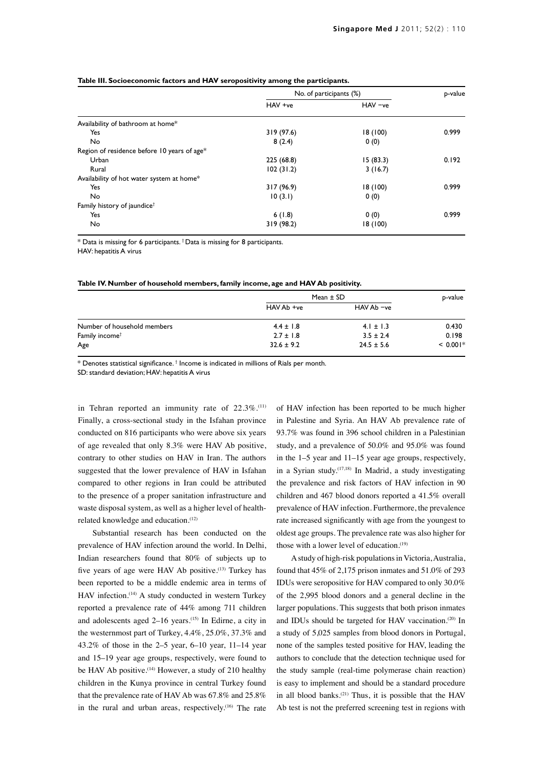|                                             | No. of participants (%) |          | p-value |
|---------------------------------------------|-------------------------|----------|---------|
|                                             | HAV +ve                 | HAV -ve  |         |
| Availability of bathroom at home*           |                         |          |         |
| Yes                                         | 319 (97.6)              | 18 (100) | 0.999   |
| No                                          | 8(2.4)                  | 0(0)     |         |
| Region of residence before 10 years of age* |                         |          |         |
| Urban                                       | 225 (68.8)              | 15(83.3) | 0.192   |
| Rural                                       | 102(31.2)               | 3(16.7)  |         |
| Availability of hot water system at home*   |                         |          |         |
| Yes                                         | 317 (96.9)              | 18 (100) | 0.999   |
| No                                          | 10(3.1)                 | 0(0)     |         |
| Family history of jaundice <sup>†</sup>     |                         |          |         |
| Yes                                         | 6(1.8)                  | 0(0)     | 0.999   |
| <b>No</b>                                   | 319 (98.2)              | 18 (100) |         |

#### **Table III. Socioeconomic factors and HAV seropositivity among the participants.**

 $*$  Data is missing for 6 participants.  $\dagger$  Data is missing for 8 participants.

HAV: hepatitis A virus

#### **Table IV. Number of household members, family income, age and HAV Ab positivity.**

|                             | Mean $\pm$ SD  |                | p-value    |
|-----------------------------|----------------|----------------|------------|
|                             | HAV Ab +ve     | HAV Ab -ve     |            |
| Number of household members | $4.4 \pm 1.8$  | $4.1 \pm 1.3$  | 0.430      |
| Family income <sup>†</sup>  | $2.7 \pm 1.8$  | $3.5 \pm 2.4$  | 0.198      |
| Age                         | $32.6 \pm 9.2$ | $24.5 \pm 5.6$ | $< 0.001*$ |

 $*$  Denotes statistical significance.  $\dagger$  Income is indicated in millions of Rials per month.

SD: standard deviation; HAV: hepatitis A virus

in Tehran reported an immunity rate of 22.3%.<sup>(11)</sup> Finally, a cross-sectional study in the Isfahan province conducted on 816 participants who were above six years of age revealed that only 8.3% were HAV Ab positive, contrary to other studies on HAV in Iran. The authors suggested that the lower prevalence of HAV in Isfahan compared to other regions in Iran could be attributed to the presence of a proper sanitation infrastructure and waste disposal system, as well as a higher level of healthrelated knowledge and education.(12)

Substantial research has been conducted on the prevalence of HAV infection around the world. In Delhi, Indian researchers found that 80% of subjects up to five years of age were HAV Ab positive.<sup>(13)</sup> Turkey has been reported to be a middle endemic area in terms of HAV infection.<sup>(14)</sup> A study conducted in western Turkey reported a prevalence rate of 44% among 711 children and adolescents aged  $2-16$  years.<sup>(15)</sup> In Edirne, a city in the westernmost part of Turkey, 4.4%, 25.0%, 37.3% and 43.2% of those in the 2–5 year, 6–10 year, 11–14 year and 15–19 year age groups, respectively, were found to be HAV Ab positive.<sup>(14)</sup> However, a study of 210 healthy children in the Kunya province in central Turkey found that the prevalence rate of HAV Ab was 67.8% and 25.8% in the rural and urban areas, respectively.<sup>(16)</sup> The rate

of HAV infection has been reported to be much higher in Palestine and Syria. An HAV Ab prevalence rate of 93.7% was found in 396 school children in a Palestinian study, and a prevalence of 50.0% and 95.0% was found in the 1–5 year and 11–15 year age groups, respectively, in a Syrian study.(17,18) In Madrid, a study investigating the prevalence and risk factors of HAV infection in 90 children and 467 blood donors reported a 41.5% overall prevalence of HAV infection. Furthermore, the prevalence rate increased significantly with age from the youngest to oldest age groups. The prevalence rate was also higher for those with a lower level of education.<sup>(19)</sup>

A study of high-risk populations in Victoria, Australia, found that 45% of 2,175 prison inmates and 51.0% of 293 IDUs were seropositive for HAV compared to only 30.0% of the 2,995 blood donors and a general decline in the larger populations. This suggests that both prison inmates and IDUs should be targeted for HAV vaccination.<sup>(20)</sup> In a study of 5,025 samples from blood donors in Portugal, none of the samples tested positive for HAV, leading the authors to conclude that the detection technique used for the study sample (real-time polymerase chain reaction) is easy to implement and should be a standard procedure in all blood banks. $(21)$  Thus, it is possible that the HAV Ab test is not the preferred screening test in regions with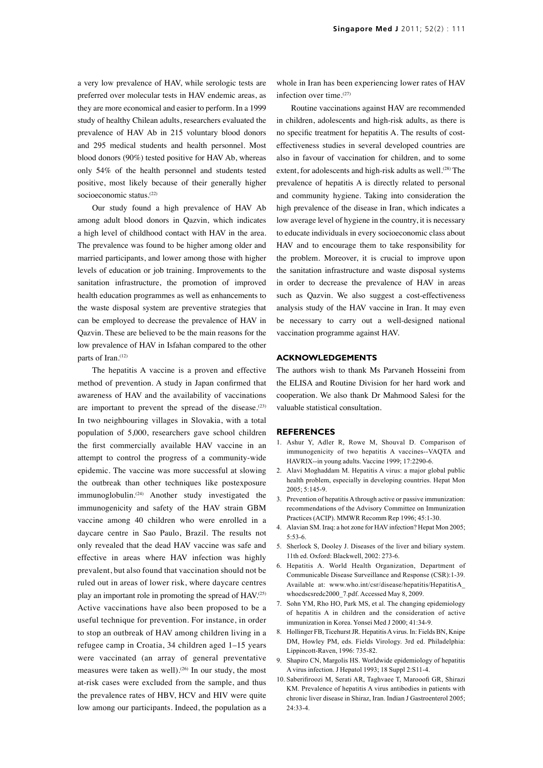a very low prevalence of HAV, while serologic tests are preferred over molecular tests in HAV endemic areas, as they are more economical and easier to perform. In a 1999 study of healthy Chilean adults, researchers evaluated the prevalence of HAV Ab in 215 voluntary blood donors and 295 medical students and health personnel. Most blood donors (90%) tested positive for HAV Ab, whereas only 54% of the health personnel and students tested positive, most likely because of their generally higher socioeconomic status.(22)

Our study found a high prevalence of HAV Ab among adult blood donors in Qazvin, which indicates a high level of childhood contact with HAV in the area. The prevalence was found to be higher among older and married participants, and lower among those with higher levels of education or job training. Improvements to the sanitation infrastructure, the promotion of improved health education programmes as well as enhancements to the waste disposal system are preventive strategies that can be employed to decrease the prevalence of HAV in Qazvin. These are believed to be the main reasons for the low prevalence of HAV in Isfahan compared to the other parts of Iran.<sup>(12)</sup>

The hepatitis A vaccine is a proven and effective method of prevention. A study in Japan confirmed that awareness of HAV and the availability of vaccinations are important to prevent the spread of the disease. $(23)$ In two neighbouring villages in Slovakia, with a total population of 5,000, researchers gave school children the first commercially available HAV vaccine in an attempt to control the progress of a community-wide epidemic. The vaccine was more successful at slowing the outbreak than other techniques like postexposure immunoglobulin.<sup>(24)</sup> Another study investigated the immunogenicity and safety of the HAV strain GBM vaccine among 40 children who were enrolled in a daycare centre in Sao Paulo, Brazil. The results not only revealed that the dead HAV vaccine was safe and effective in areas where HAV infection was highly prevalent, but also found that vaccination should not be ruled out in areas of lower risk, where daycare centres play an important role in promoting the spread of HAV.<sup>(25)</sup> Active vaccinations have also been proposed to be a useful technique for prevention. For instance, in order to stop an outbreak of HAV among children living in a refugee camp in Croatia, 34 children aged 1–15 years were vaccinated (an array of general preventative measures were taken as well).<sup>(26)</sup> In our study, the most at-risk cases were excluded from the sample, and thus the prevalence rates of HBV, HCV and HIV were quite low among our participants. Indeed, the population as a

whole in Iran has been experiencing lower rates of HAV infection over time.(27)

Routine vaccinations against HAV are recommended in children, adolescents and high-risk adults, as there is no specific treatment for hepatitis A. The results of costeffectiveness studies in several developed countries are also in favour of vaccination for children, and to some extent, for adolescents and high-risk adults as well.<sup>(28)</sup> The prevalence of hepatitis A is directly related to personal and community hygiene. Taking into consideration the high prevalence of the disease in Iran, which indicates a low average level of hygiene in the country, it is necessary to educate individuals in every socioeconomic class about HAV and to encourage them to take responsibility for the problem. Moreover, it is crucial to improve upon the sanitation infrastructure and waste disposal systems in order to decrease the prevalence of HAV in areas such as Qazvin. We also suggest a cost-effectiveness analysis study of the HAV vaccine in Iran. It may even be necessary to carry out a well-designed national vaccination programme against HAV.

## **ACKNOWLEDGEMENTS**

The authors wish to thank Ms Parvaneh Hosseini from the ELISA and Routine Division for her hard work and cooperation. We also thank Dr Mahmood Salesi for the valuable statistical consultation.

#### **REFERENCES**

- 1. Ashur Y, Adler R, Rowe M, Shouval D. Comparison of immunogenicity of two hepatitis A vaccines--VAQTA and HAVRIX--in young adults. Vaccine 1999; 17:2290-6.
- 2. Alavi Moghaddam M. Hepatitis A virus: a major global public health problem, especially in developing countries. Hepat Mon  $2005:5:145-9$
- 3. Prevention of hepatitis A through active or passive immunization: recommendations of the Advisory Committee on Immunization Practices (ACIP). MMWR Recomm Rep 1996; 45:1-30.
- 4. Alavian SM. Iraq: a hot zone for HAV infection? Hepat Mon 2005; 5:53-6.
- 5. Sherlock S, Dooley J. Diseases of the liver and biliary system. 11th ed. Oxford: Blackwell, 2002: 273-6.
- 6. Hepatitis A. World Health Organization, Department of Communicable Disease Surveillance and Response (CSR):1-39. Available at: www.who.int/csr/disease/hepatitis/HepatitisA\_ whocdscsredc2000\_7.pdf. Accessed May 8, 2009.
- 7. Sohn YM, Rho HO, Park MS, et al. The changing epidemiology of hepatitis A in children and the consideration of active immunization in Korea. Yonsei Med J 2000; 41:34-9.
- 8. Hollinger FB, Ticehurst JR. Hepatitis A virus. In: Fields BN, Knipe DM, Howley PM, eds. Fields Virology. 3rd ed. Philadelphia: Lippincott-Raven, 1996: 735-82.
- 9. Shapiro CN, Margolis HS. Worldwide epidemiology of hepatitis A virus infection. J Hepatol 1993; 18 Suppl 2:S11-4.
- 10. Saberifiroozi M, Serati AR, Taghvaee T, Marooofi GR, Shirazi KM. Prevalence of hepatitis A virus antibodies in patients with chronic liver disease in Shiraz, Iran. Indian J Gastroenterol 2005;  $24.33 - 4$